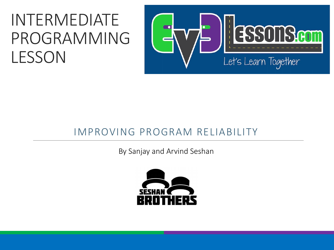#### INTERMEDIATE PROGRAMMING LESSON



#### IMPROVING PROGRAM RELIABILITY

By Sanjay and Arvind Seshan

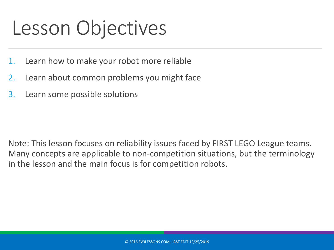### Lesson Objectives

- 1. Learn how to make your robot more reliable
- 2. Learn about common problems you might face
- 3. Learn some possible solutions

Note: This lesson focuses on reliability issues faced by FIRST LEGO League teams. Many concepts are applicable to non-competition situations, but the terminology in the lesson and the main focus is for competition robots.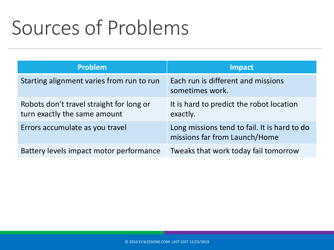## Sources of Problems

| <b>Problem</b>                                                           | <b>Impact</b>                                                                 |
|--------------------------------------------------------------------------|-------------------------------------------------------------------------------|
| Starting alignment varies from run to run                                | Each run is different and missions<br>sometimes work.                         |
| Robots don't travel straight for long or<br>turn exactly the same amount | It is hard to predict the robot location<br>exactly.                          |
| Errors accumulate as you travel                                          | Long missions tend to fail. It is hard to do<br>missions far from Launch/Home |
| Battery levels impact motor performance                                  | Tweaks that work today fail tomorrow                                          |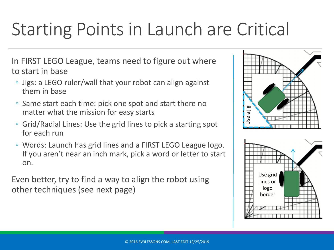#### Starting Points in Launch are Critical

In FIRST LEGO League, teams need to figure out where to start in base

- Jigs: a LEGO ruler/wall that your robot can align against them in base
- Same start each time: pick one spot and start there no matter what the mission for easy starts
- Grid/Radial Lines: Use the grid lines to pick a starting spot for each run
- Words: Launch has grid lines and a FIRST LEGO League logo. If you aren't near an inch mark, pick a word or letter to start on.

Even better, try to find a way to align the robot using other techniques (see next page)



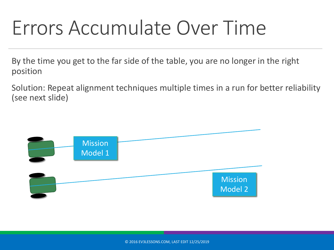### Errors Accumulate Over Time

By the time you get to the far side of the table, you are no longer in the right position

Solution: Repeat alignment techniques multiple times in a run for better reliability (see next slide)

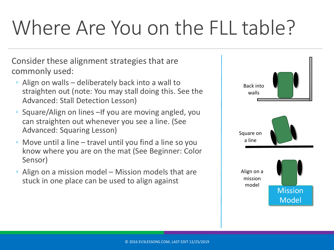# Where Are You on the FLL table?

Consider these alignment strategies that are commonly used:

- Align on walls deliberately back into a wall to straighten out (note: You may stall doing this. See the Advanced: Stall Detection Lesson)
- Square/Align on lines –If you are moving angled, you can straighten out whenever you see a line. (See Advanced: Squaring Lesson)
- Move until a line travel until you find a line so you know where you are on the mat (See Beginner: Color Sensor)
- Align on a mission model Mission models that are stuck in one place can be used to align against

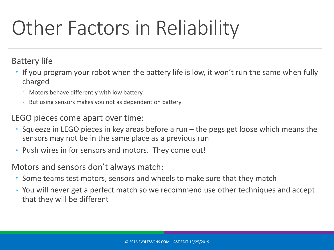# Other Factors in Reliability

Battery life

- If you program your robot when the battery life is low, it won't run the same when fully charged
	- Motors behave differently with low battery
	- But using sensors makes you not as dependent on battery

LEGO pieces come apart over time:

- Squeeze in LEGO pieces in key areas before a run the pegs get loose which means the sensors may not be in the same place as a previous run
- Push wires in for sensors and motors. They come out!

Motors and sensors don't always match:

- Some teams test motors, sensors and wheels to make sure that they match
- You will never get a perfect match so we recommend use other techniques and accept that they will be different